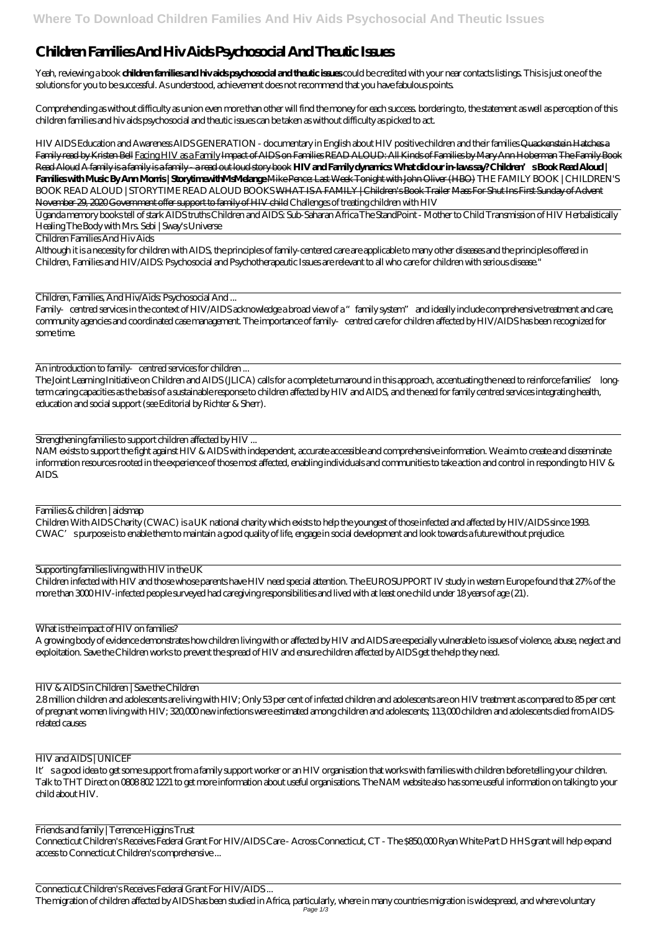## **Children Families And Hiv Aids Psychosocial And Theutic Issues**

Yeah, reviewing a book **children families and hiv aids psychosocial and theutic issues** could be credited with your near contacts listings. This is just one of the solutions for you to be successful. As understood, achievement does not recommend that you have fabulous points.

Comprehending as without difficulty as union even more than other will find the money for each success. bordering to, the statement as well as perception of this children families and hiv aids psychosocial and theutic issues can be taken as without difficulty as picked to act.

HIV AIDS Education and Awareness *AIDS GENERATION - documentary in English about HIV positive children and their families* Quackenstein Hatches a Family read by Kristen Bell Facing HIV as a Family Impact of AIDS on Families READ ALOUD: All Kinds of Families by Mary Ann Hoberman The Family Book Read Aloud A family is a family is a family - a read out loud story book **HIV and Family dynamics: What did our in-laws say? Children's Book Read Aloud | Families with Music By Ann Morris | StorytimewithMsMelange** Mike Pence: Last Week Tonight with John Oliver (HBO) *THE FAMILY BOOK | CHILDREN'S BOOK READ ALOUD | STORYTIME READ ALOUD BOOKS* WHAT IS A FAMILY | Children's Book Trailer Mass For Shut Ins First Sunday of Advent November 29, 2020 Government offer support to family of HIV child *Challenges of treating children with HIV*

Family centred services in the context of HIV/AIDS acknowledge a broad view of a "family system" and ideally include comprehensive treatment and care, community agencies and coordinated case management. The importance of family centred care for children affected by HIV/AIDS has been recognized for some time.

An introduction to family centred services for children ...

Uganda memory books tell of stark AIDS truths Children and AIDS: Sub-Saharan Africa *The StandPoint - Mother to Child Transmission of HIV Herbalistically Healing The Body with Mrs. Sebi | Sway's Universe*

Children Families And Hiv Aids

Although it is a necessity for children with AIDS, the principles of family-centered care are applicable to many other diseases and the principles offered in Children, Families and HIV/AIDS: Psychosocial and Psychotherapeutic Issues are relevant to all who care for children with serious disease."

Children, Families, And Hiv/Aids: Psychosocial And ...

It' sa good idea to get some support from a family support worker or an HIV organisation that works with families with children before telling your children. Talk to THT Direct on 0808 802 1221 to get more information about useful organisations. The NAM website also has some useful information on talking to your child about HIV.

The Joint Learning Initiative on Children and AIDS (JLICA) calls for a complete turnaround in this approach, accentuating the need to reinforce families' longterm caring capacities as the basis of a sustainable response to children affected by HIV and AIDS, and the need for family centred services integrating health, education and social support (see Editorial by Richter & Sherr).

Strengthening families to support children affected by HIV ...

NAM exists to support the fight against HIV & AIDS with independent, accurate accessible and comprehensive information. We aim to create and disseminate information resources rooted in the experience of those most affected, enabling individuals and communities to take action and control in responding to HIV & AIDS.

Families & children | aidsmap

Children With AIDS Charity (CWAC) is a UK national charity which exists to help the youngest of those infected and affected by HIV/AIDS since 1993. CWAC's purpose is to enable them to maintain a good quality of life, engage in social development and look towards a future without prejudice.

Supporting families living with HIV in the UK

Children infected with HIV and those whose parents have HIV need special attention. The EUROSUPPORT IV study in western Europe found that 27% of the more than 3000 HIV-infected people surveyed had caregiving responsibilities and lived with at least one child under 18 years of age (21).

What is the impact of HIV on families?

A growing body of evidence demonstrates how children living with or affected by HIV and AIDS are especially vulnerable to issues of violence, abuse, neglect and exploitation. Save the Children works to prevent the spread of HIV and ensure children affected by AIDS get the help they need.

HIV & AIDS in Children | Save the Children

2.8 million children and adolescents are living with HIV; Only 53 per cent of infected children and adolescents are on HIV treatment as compared to 85 per cent

of pregnant women living with HIV; 320,000 new infections were estimated among children and adolescents; 113,000 children and adolescents died from AIDSrelated causes

## HIV and AIDS | UNICEF

Friends and family | Terrence Higgins Trust Connecticut Children's Receives Federal Grant For HIV/AIDS Care - Across Connecticut, CT - The \$850,000 Ryan White Part D HHS grant will help expand access to Connecticut Children's comprehensive ...

Connecticut Children's Receives Federal Grant For HIV/AIDS ...

The migration of children affected by AIDS has been studied in Africa, particularly, where in many countries migration is widespread, and where voluntary Page 1/3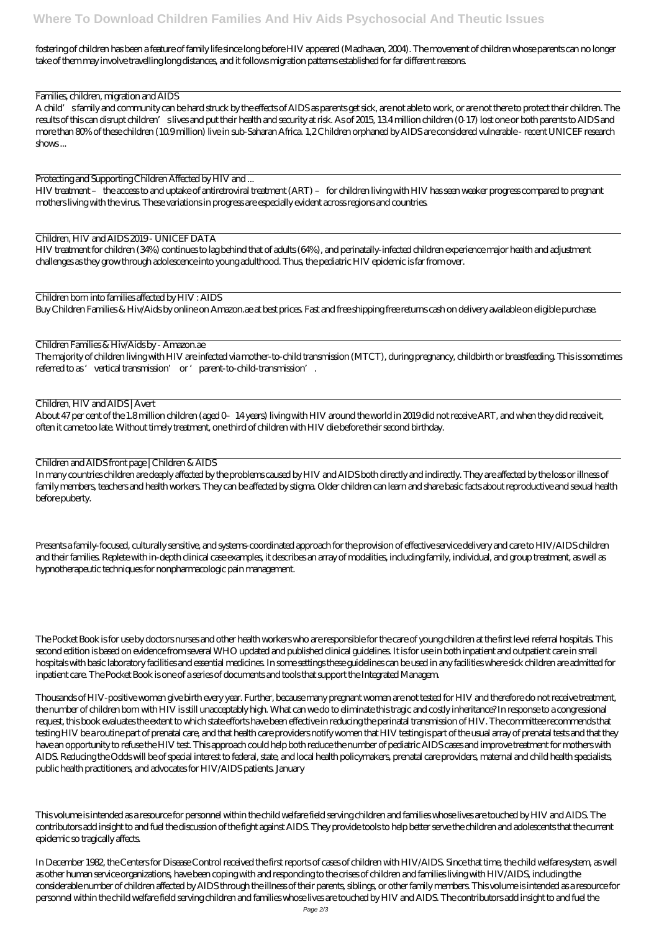fostering of children has been a feature of family life since long before HIV appeared (Madhavan, 2004). The movement of children whose parents can no longer take of them may involve travelling long distances, and it follows migration patterns established for far different reasons.

Families, children, migration and AIDS

A child's family and community can be hard struck by the effects of AIDS as parents get sick, are not able to work, or are not there to protect their children. The results of this can disrupt children' slives and put their health and security at risk. As of 2015, 13.4 million children (0-17) lost one or both parents to AIDS and more than 80% of these children (10.9 million) live in sub-Saharan Africa. 1,2 Children orphaned by AIDS are considered vulnerable - recent UNICEF research shows ...

The majority of children living with HIV are infected via mother-to-child transmission (MTCT), during pregnancy, childbirth or breastfeeding. This is sometimes referred to as 'vertical transmission' or 'parent-to-child-transmission'.

Protecting and Supporting Children Affected by HIV and ...

HIV treatment – the access to and uptake of antiretroviral treatment (ART) – for children living with HIV has seen weaker progress compared to pregnant mothers living with the virus. These variations in progress are especially evident across regions and countries.

Children, HIV and AIDS 2019 - UNICEF DATA

HIV treatment for children (34%) continues to lag behind that of adults (64%), and perinatally-infected children experience major health and adjustment challenges as they grow through adolescence into young adulthood. Thus, the pediatric HIV epidemic is far from over.

Children born into families affected by HIV : AIDS

Buy Children Families & Hiv/Aids by online on Amazon.ae at best prices. Fast and free shipping free returns cash on delivery available on eligible purchase.

Children Families & Hiv/Aids by - Amazon.ae

Children, HIV and AIDS | Avert

About 47 per cent of the 1.8 million children (aged 0–14 years) living with HIV around the world in 2019 did not receive ART, and when they did receive it, often it came too late. Without timely treatment, one third of children with HIV die before their second birthday.

Children and AIDS front page | Children & AIDS

In many countries children are deeply affected by the problems caused by HIV and AIDS both directly and indirectly. They are affected by the loss or illness of family members, teachers and health workers. They can be affected by stigma. Older children can learn and share basic facts about reproductive and sexual health before puberty.

Presents a family-focused, culturally sensitive, and systems-coordinated approach for the provision of effective service delivery and care to HIV/AIDS children and their families. Replete with in-depth clinical case examples, it describes an array of modalities, including family, individual, and group treatment, as well as hypnotherapeutic techniques for nonpharmacologic pain management.

The Pocket Book is for use by doctors nurses and other health workers who are responsible for the care of young children at the first level referral hospitals. This second edition is based on evidence from several WHO updated and published clinical guidelines. It is for use in both inpatient and outpatient care in small hospitals with basic laboratory facilities and essential medicines. In some settings these guidelines can be used in any facilities where sick children are admitted for inpatient care. The Pocket Book is one of a series of documents and tools that support the Integrated Managem.

Thousands of HIV-positive women give birth every year. Further, because many pregnant women are not tested for HIV and therefore do not receive treatment,

the number of children born with HIV is still unacceptably high. What can we do to eliminate this tragic and costly inheritance? In response to a congressional request, this book evaluates the extent to which state efforts have been effective in reducing the perinatal transmission of HIV. The committee recommends that testing HIV be a routine part of prenatal care, and that health care providers notify women that HIV testing is part of the usual array of prenatal tests and that they have an opportunity to refuse the HIV test. This approach could help both reduce the number of pediatric AIDS cases and improve treatment for mothers with AIDS. Reducing the Odds will be of special interest to federal, state, and local health policymakers, prenatal care providers, maternal and child health specialists, public health practitioners, and advocates for HIV/AIDS patients. January

This volume is intended as a resource for personnel within the child welfare field serving children and families whose lives are touched by HIV and AIDS. The contributors add insight to and fuel the discussion of the fight against AIDS. They provide tools to help better serve the children and adolescents that the current epidemic so tragically affects.

In December 1982, the Centers for Disease Control received the first reports of cases of children with HIV/AIDS. Since that time, the child welfare system, as well as other human service organizations, have been coping with and responding to the crises of children and families living with HIV/AIDS, including the considerable number of children affected by AIDS through the illness of their parents, siblings, or other family members. This volume is intended as a resource for personnel within the child welfare field serving children and families whose lives are touched by HIV and AIDS. The contributors add insight to and fuel the